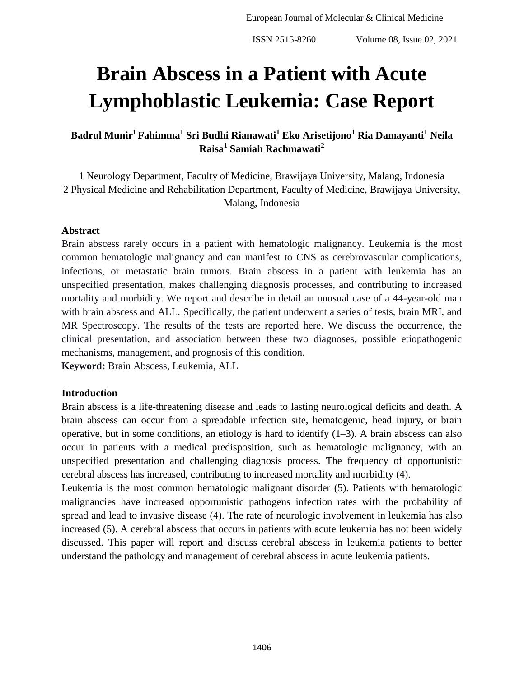# **Brain Abscess in a Patient with Acute Lymphoblastic Leukemia: Case Report**

**Badrul Munir<sup>1</sup>Fahimma<sup>1</sup> Sri Budhi Rianawati<sup>1</sup> Eko Arisetijono<sup>1</sup> Ria Damayanti<sup>1</sup> Neila Raisa<sup>1</sup> Samiah Rachmawati<sup>2</sup>**

1 Neurology Department, Faculty of Medicine, Brawijaya University, Malang, Indonesia 2 Physical Medicine and Rehabilitation Department, Faculty of Medicine, Brawijaya University, Malang, Indonesia

#### **Abstract**

Brain abscess rarely occurs in a patient with hematologic malignancy. Leukemia is the most common hematologic malignancy and can manifest to CNS as cerebrovascular complications, infections, or metastatic brain tumors. Brain abscess in a patient with leukemia has an unspecified presentation, makes challenging diagnosis processes, and contributing to increased mortality and morbidity. We report and describe in detail an unusual case of a 44-year-old man with brain abscess and ALL. Specifically, the patient underwent a series of tests, brain MRI, and MR Spectroscopy. The results of the tests are reported here. We discuss the occurrence, the clinical presentation, and association between these two diagnoses, possible etiopathogenic mechanisms, management, and prognosis of this condition.

**Keyword:** Brain Abscess, Leukemia, ALL

#### **Introduction**

Brain abscess is a life-threatening disease and leads to lasting neurological deficits and death. A brain abscess can occur from a spreadable infection site, hematogenic, head injury, or brain operative, but in some conditions, an etiology is hard to identify  $(1-3)$ . A brain abscess can also occur in patients with a medical predisposition, such as hematologic malignancy, with an unspecified presentation and challenging diagnosis process. The frequency of opportunistic cerebral abscess has increased, contributing to increased mortality and morbidity (4).

Leukemia is the most common hematologic malignant disorder (5). Patients with hematologic malignancies have increased opportunistic pathogens infection rates with the probability of spread and lead to invasive disease (4). The rate of neurologic involvement in leukemia has also increased (5). A cerebral abscess that occurs in patients with acute leukemia has not been widely discussed. This paper will report and discuss cerebral abscess in leukemia patients to better understand the pathology and management of cerebral abscess in acute leukemia patients.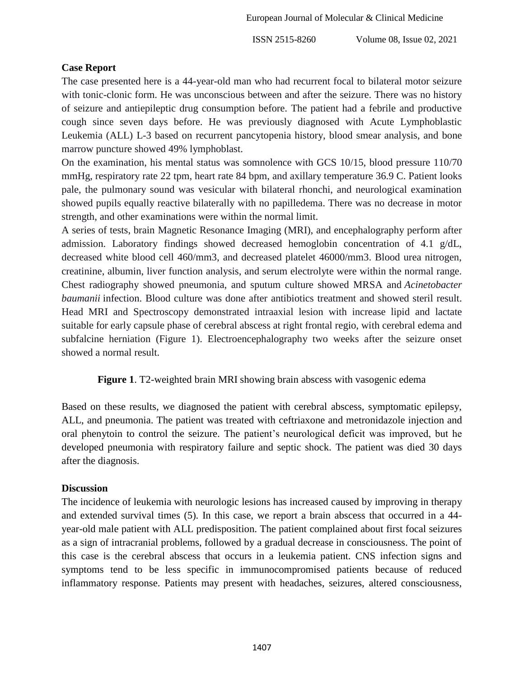### **Case Report**

The case presented here is a 44-year-old man who had recurrent focal to bilateral motor seizure with tonic-clonic form. He was unconscious between and after the seizure. There was no history of seizure and antiepileptic drug consumption before. The patient had a febrile and productive cough since seven days before. He was previously diagnosed with Acute Lymphoblastic Leukemia (ALL) L-3 based on recurrent pancytopenia history, blood smear analysis, and bone marrow puncture showed 49% lymphoblast.

On the examination, his mental status was somnolence with GCS 10/15, blood pressure 110/70 mmHg, respiratory rate 22 tpm, heart rate 84 bpm, and axillary temperature 36.9 C. Patient looks pale, the pulmonary sound was vesicular with bilateral rhonchi, and neurological examination showed pupils equally reactive bilaterally with no papilledema. There was no decrease in motor strength, and other examinations were within the normal limit.

A series of tests, brain Magnetic Resonance Imaging (MRI), and encephalography perform after admission. Laboratory findings showed decreased hemoglobin concentration of 4.1 g/dL, decreased white blood cell 460/mm3, and decreased platelet 46000/mm3. Blood urea nitrogen, creatinine, albumin, liver function analysis, and serum electrolyte were within the normal range. Chest radiography showed pneumonia, and sputum culture showed MRSA and *Acinetobacter baumanii* infection. Blood culture was done after antibiotics treatment and showed steril result. Head MRI and Spectroscopy demonstrated intraaxial lesion with increase lipid and lactate suitable for early capsule phase of cerebral abscess at right frontal regio, with cerebral edema and subfalcine herniation (Figure 1). Electroencephalography two weeks after the seizure onset showed a normal result.

**Figure 1**. T2-weighted brain MRI showing brain abscess with vasogenic edema

Based on these results, we diagnosed the patient with cerebral abscess, symptomatic epilepsy, ALL, and pneumonia. The patient was treated with ceftriaxone and metronidazole injection and oral phenytoin to control the seizure. The patient's neurological deficit was improved, but he developed pneumonia with respiratory failure and septic shock. The patient was died 30 days after the diagnosis.

### **Discussion**

The incidence of leukemia with neurologic lesions has increased caused by improving in therapy and extended survival times (5). In this case, we report a brain abscess that occurred in a 44 year-old male patient with ALL predisposition. The patient complained about first focal seizures as a sign of intracranial problems, followed by a gradual decrease in consciousness. The point of this case is the cerebral abscess that occurs in a leukemia patient. CNS infection signs and symptoms tend to be less specific in immunocompromised patients because of reduced inflammatory response. Patients may present with headaches, seizures, altered consciousness,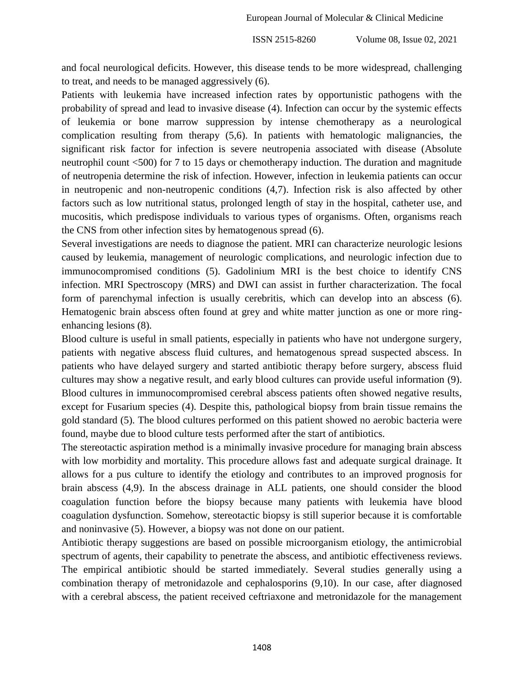and focal neurological deficits. However, this disease tends to be more widespread, challenging to treat, and needs to be managed aggressively (6).

Patients with leukemia have increased infection rates by opportunistic pathogens with the probability of spread and lead to invasive disease (4). Infection can occur by the systemic effects of leukemia or bone marrow suppression by intense chemotherapy as a neurological complication resulting from therapy (5,6). In patients with hematologic malignancies, the significant risk factor for infection is severe neutropenia associated with disease (Absolute neutrophil count <500) for 7 to 15 days or chemotherapy induction. The duration and magnitude of neutropenia determine the risk of infection. However, infection in leukemia patients can occur in neutropenic and non-neutropenic conditions (4,7). Infection risk is also affected by other factors such as low nutritional status, prolonged length of stay in the hospital, catheter use, and mucositis, which predispose individuals to various types of organisms. Often, organisms reach the CNS from other infection sites by hematogenous spread (6).

Several investigations are needs to diagnose the patient. MRI can characterize neurologic lesions caused by leukemia, management of neurologic complications, and neurologic infection due to immunocompromised conditions (5). Gadolinium MRI is the best choice to identify CNS infection. MRI Spectroscopy (MRS) and DWI can assist in further characterization. The focal form of parenchymal infection is usually cerebritis, which can develop into an abscess (6). Hematogenic brain abscess often found at grey and white matter junction as one or more ringenhancing lesions (8).

Blood culture is useful in small patients, especially in patients who have not undergone surgery, patients with negative abscess fluid cultures, and hematogenous spread suspected abscess. In patients who have delayed surgery and started antibiotic therapy before surgery, abscess fluid cultures may show a negative result, and early blood cultures can provide useful information (9). Blood cultures in immunocompromised cerebral abscess patients often showed negative results, except for Fusarium species (4). Despite this, pathological biopsy from brain tissue remains the gold standard (5). The blood cultures performed on this patient showed no aerobic bacteria were found, maybe due to blood culture tests performed after the start of antibiotics.

The stereotactic aspiration method is a minimally invasive procedure for managing brain abscess with low morbidity and mortality. This procedure allows fast and adequate surgical drainage. It allows for a pus culture to identify the etiology and contributes to an improved prognosis for brain abscess (4,9). In the abscess drainage in ALL patients, one should consider the blood coagulation function before the biopsy because many patients with leukemia have blood coagulation dysfunction. Somehow, stereotactic biopsy is still superior because it is comfortable and noninvasive (5). However, a biopsy was not done on our patient.

Antibiotic therapy suggestions are based on possible microorganism etiology, the antimicrobial spectrum of agents, their capability to penetrate the abscess, and antibiotic effectiveness reviews. The empirical antibiotic should be started immediately. Several studies generally using a combination therapy of metronidazole and cephalosporins (9,10). In our case, after diagnosed with a cerebral abscess, the patient received ceftriaxone and metronidazole for the management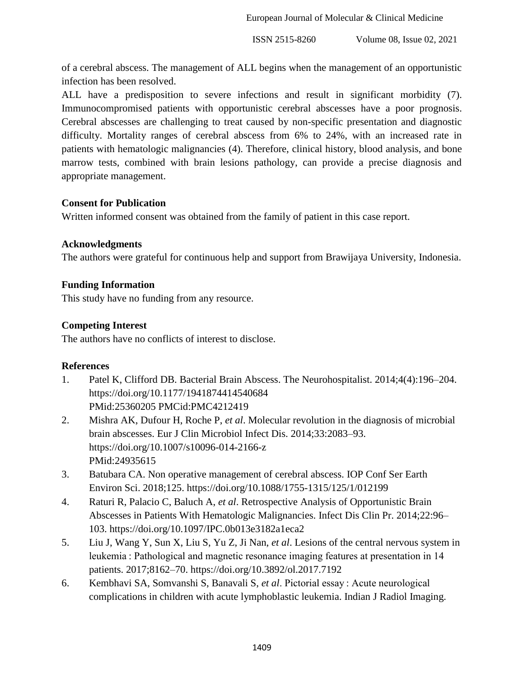European Journal of Molecular & Clinical Medicine

ISSN 2515-8260 Volume 08, Issue 02, 2021

of a cerebral abscess. The management of ALL begins when the management of an opportunistic infection has been resolved.

ALL have a predisposition to severe infections and result in significant morbidity (7). Immunocompromised patients with opportunistic cerebral abscesses have a poor prognosis. Cerebral abscesses are challenging to treat caused by non-specific presentation and diagnostic difficulty. Mortality ranges of cerebral abscess from 6% to 24%, with an increased rate in patients with hematologic malignancies (4). Therefore, clinical history, blood analysis, and bone marrow tests, combined with brain lesions pathology, can provide a precise diagnosis and appropriate management.

# **Consent for Publication**

Written informed consent was obtained from the family of patient in this case report.

# **Acknowledgments**

The authors were grateful for continuous help and support from Brawijaya University, Indonesia.

# **Funding Information**

This study have no funding from any resource.

# **Competing Interest**

The authors have no conflicts of interest to disclose.

### **References**

- 1. Patel K, Clifford DB. Bacterial Brain Abscess. The Neurohospitalist. 2014;4(4):196–204. https://doi.org/10.1177/1941874414540684 PMid:25360205 PMCid:PMC4212419
- 2. Mishra AK, Dufour H, Roche P, *et al*. Molecular revolution in the diagnosis of microbial brain abscesses. Eur J Clin Microbiol Infect Dis. 2014;33:2083–93. https://doi.org/10.1007/s10096-014-2166-z PMid:24935615
- 3. Batubara CA. Non operative management of cerebral abscess. IOP Conf Ser Earth Environ Sci. 2018;125. https://doi.org/10.1088/1755-1315/125/1/012199
- 4. Raturi R, Palacio C, Baluch A, *et al*. Retrospective Analysis of Opportunistic Brain Abscesses in Patients With Hematologic Malignancies. Infect Dis Clin Pr. 2014;22:96– 103. https://doi.org/10.1097/IPC.0b013e3182a1eca2
- 5. Liu J, Wang Y, Sun X, Liu S, Yu Z, Ji Nan, *et al*. Lesions of the central nervous system in leukemia : Pathological and magnetic resonance imaging features at presentation in 14 patients. 2017;8162–70. https://doi.org/10.3892/ol.2017.7192
- 6. Kembhavi SA, Somvanshi S, Banavali S, *et al*. Pictorial essay : Acute neurological complications in children with acute lymphoblastic leukemia. Indian J Radiol Imaging.